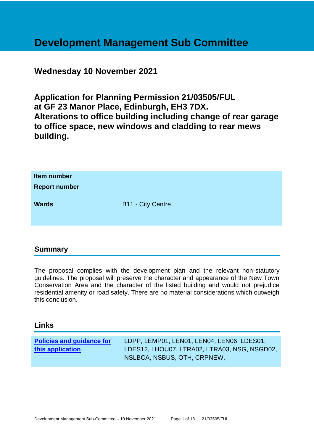# **Development Management Sub Committee**

# **Wednesday 10 November 2021**

**Application for Planning Permission 21/03505/FUL at GF 23 Manor Place, Edinburgh, EH3 7DX. Alterations to office building including change of rear garage to office space, new windows and cladding to rear mews building.**

| Item number<br><b>Report number</b> |                          |
|-------------------------------------|--------------------------|
| <b>Wards</b>                        | <b>B11 - City Centre</b> |

# **Summary**

The proposal complies with the development plan and the relevant non-statutory guidelines. The proposal will preserve the character and appearance of the New Town Conservation Area and the character of the listed building and would not prejudice residential amenity or road safety. There are no material considerations which outweigh this conclusion.

#### **Links**

| <b>Policies and guidance for</b> | LDPP, LEMP01, LEN01, LEN04, LEN06, LDES01,   |
|----------------------------------|----------------------------------------------|
| this application                 | LDES12, LHOU07, LTRA02, LTRA03, NSG, NSGD02, |
|                                  | NSLBCA, NSBUS, OTH, CRPNEW,                  |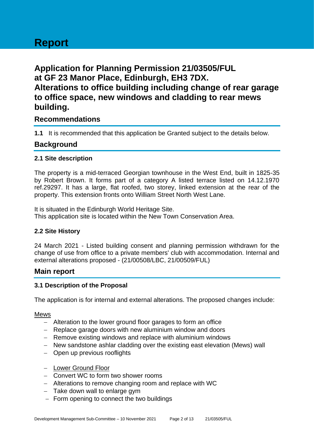# **Report**

**Application for Planning Permission 21/03505/FUL at GF 23 Manor Place, Edinburgh, EH3 7DX. Alterations to office building including change of rear garage to office space, new windows and cladding to rear mews building.**

# **Recommendations**

**1.1** It is recommended that this application be Granted subject to the details below.

# **Background**

#### **2.1 Site description**

The property is a mid-terraced Georgian townhouse in the West End, built in 1825-35 by Robert Brown. It forms part of a category A listed terrace listed on 14.12.1970 ref.29297. It has a large, flat roofed, two storey, linked extension at the rear of the property. This extension fronts onto William Street North West Lane.

It is situated in the Edinburgh World Heritage Site. This application site is located within the New Town Conservation Area.

#### **2.2 Site History**

24 March 2021 - Listed building consent and planning permission withdrawn for the change of use from office to a private members' club with accommodation. Internal and external alterations proposed - (21/00508/LBC, 21/00509/FUL)

#### **Main report**

#### **3.1 Description of the Proposal**

The application is for internal and external alterations. The proposed changes include:

#### Mews

- − Alteration to the lower ground floor garages to form an office
- − Replace garage doors with new aluminium window and doors
- − Remove existing windows and replace with aluminium windows
- − New sandstone ashlar cladding over the existing east elevation (Mews) wall
- − Open up previous rooflights
- − Lower Ground Floor
- − Convert WC to form two shower rooms
- − Alterations to remove changing room and replace with WC
- − Take down wall to enlarge gym
- − Form opening to connect the two buildings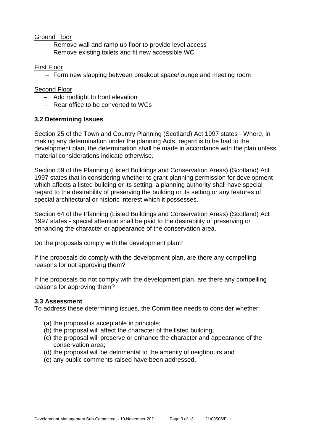#### Ground Floor

- − Remove wall and ramp up floor to provide level access
- − Remove existing toilets and fit new accessible WC

#### First Floor

− Form new slapping between breakout space/lounge and meeting room

#### Second Floor

- − Add rooflight to front elevation
- − Rear office to be converted to WCs

#### **3.2 Determining Issues**

Section 25 of the Town and Country Planning (Scotland) Act 1997 states - Where, in making any determination under the planning Acts, regard is to be had to the development plan, the determination shall be made in accordance with the plan unless material considerations indicate otherwise.

Section 59 of the Planning (Listed Buildings and Conservation Areas) (Scotland) Act 1997 states that in considering whether to grant planning permission for development which affects a listed building or its setting, a planning authority shall have special regard to the desirability of preserving the building or its setting or any features of special architectural or historic interest which it possesses.

Section 64 of the Planning (Listed Buildings and Conservation Areas) (Scotland) Act 1997 states - special attention shall be paid to the desirability of preserving or enhancing the character or appearance of the conservation area.

Do the proposals comply with the development plan?

If the proposals do comply with the development plan, are there any compelling reasons for not approving them?

If the proposals do not comply with the development plan, are there any compelling reasons for approving them?

#### **3.3 Assessment**

To address these determining issues, the Committee needs to consider whether:

- (a) the proposal is acceptable in principle;
- (b) the proposal will affect the character of the listed building;
- (c) the proposal will preserve or enhance the character and appearance of the conservation area;
- (d) the proposal will be detrimental to the amenity of neighbours and
- (e) any public comments raised have been addressed.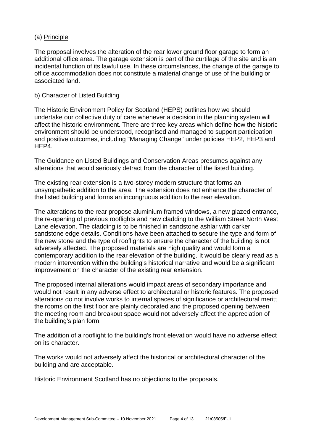#### (a) Principle

The proposal involves the alteration of the rear lower ground floor garage to form an additional office area. The garage extension is part of the curtilage of the site and is an incidental function of its lawful use. In these circumstances, the change of the garage to office accommodation does not constitute a material change of use of the building or associated land.

#### b) Character of Listed Building

The Historic Environment Policy for Scotland (HEPS) outlines how we should undertake our collective duty of care whenever a decision in the planning system will affect the historic environment. There are three key areas which define how the historic environment should be understood, recognised and managed to support participation and positive outcomes, including "Managing Change" under policies HEP2, HEP3 and HEP4.

The Guidance on Listed Buildings and Conservation Areas presumes against any alterations that would seriously detract from the character of the listed building.

The existing rear extension is a two-storey modern structure that forms an unsympathetic addition to the area. The extension does not enhance the character of the listed building and forms an incongruous addition to the rear elevation.

The alterations to the rear propose aluminium framed windows, a new glazed entrance, the re-opening of previous rooflights and new cladding to the William Street North West Lane elevation. The cladding is to be finished in sandstone ashlar with darker sandstone edge details. Conditions have been attached to secure the type and form of the new stone and the type of rooflights to ensure the character of the building is not adversely affected. The proposed materials are high quality and would form a contemporary addition to the rear elevation of the building. It would be clearly read as a modern intervention within the building's historical narrative and would be a significant improvement on the character of the existing rear extension.

The proposed internal alterations would impact areas of secondary importance and would not result in any adverse effect to architectural or historic features. The proposed alterations do not involve works to internal spaces of significance or architectural merit; the rooms on the first floor are plainly decorated and the proposed opening between the meeting room and breakout space would not adversely affect the appreciation of the building's plan form.

The addition of a rooflight to the building's front elevation would have no adverse effect on its character.

The works would not adversely affect the historical or architectural character of the building and are acceptable.

Historic Environment Scotland has no objections to the proposals.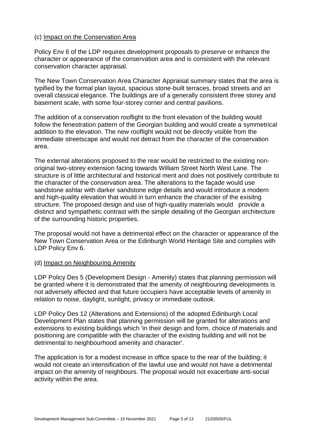#### (c) Impact on the Conservation Area

Policy Env 6 of the LDP requires development proposals to preserve or enhance the character or appearance of the conservation area and is consistent with the relevant conservation character appraisal.

The New Town Conservation Area Character Appraisal summary states that the area is typified by the formal plan layout, spacious stone-built terraces, broad streets and an overall classical elegance. The buildings are of a generally consistent three storey and basement scale, with some four-storey corner and central pavilions.

The addition of a conservation rooflight to the front elevation of the building would follow the fenestration pattern of the Georgian building and would create a symmetrical addition to the elevation. The new rooflight would not be directly visible from the immediate streetscape and would not detract from the character of the conservation area.

The external alterations proposed to the rear would be restricted to the existing nonoriginal two-storey extension facing towards William Street North West Lane. The structure is of little architectural and historical merit and does not positively contribute to the character of the conservation area. The alterations to the façade would use sandstone ashlar with darker sandstone edge details and would introduce a modern and high-quality elevation that would in turn enhance the character of the exisitng structure. The proposed design and use of high-quality materials would provide a distinct and sympathetic contrast with the simple detailing of the Georgian architecture of the surrounding historic properties.

The proposal would not have a detrimental effect on the character or appearance of the New Town Conservation Area or the Edinburgh World Heritage Site and complies with LDP Policy Env 6.

#### (d) Impact on Neighbouring Amenity

LDP Policy Des 5 (Development Design - Amenity) states that planning permission will be granted where it is demonstrated that the amenity of neighbouring developments is not adversely affected and that future occupiers have acceptable levels of amenity in relation to noise, daylight, sunlight, privacy or immediate outlook.

LDP Policy Des 12 (Alterations and Extensions) of the adopted Edinburgh Local Development Plan states that planning permission will be granted for alterations and extensions to existing buildings which 'in their design and form, choice of materials and positioning are compatible with the character of the existing building and will not be detrimental to neighbourhood amenity and character'.

The application is for a modest increase in office space to the rear of the building; it would not create an intensification of the lawful use and would not have a detrimental impact on the amenity of neighbours. The proposal would not exacerbate anti-social activity within the area.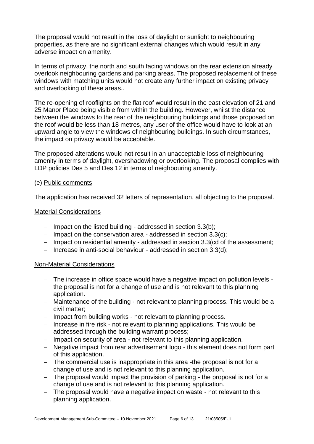The proposal would not result in the loss of daylight or sunlight to neighbouring properties, as there are no significant external changes which would result in any adverse impact on amenity.

In terms of privacy, the north and south facing windows on the rear extension already overlook neighbouring gardens and parking areas. The proposed replacement of these windows with matching units would not create any further impact on existing privacy and overlooking of these areas..

The re-opening of rooflights on the flat roof would result in the east elevation of 21 and 25 Manor Place being visible from within the building. However, whilst the distance between the windows to the rear of the neighbouring buildings and those proposed on the roof would be less than 18 metres, any user of the office would have to look at an upward angle to view the windows of neighbouring buildings. In such circumstances, the impact on privacy would be acceptable.

The proposed alterations would not result in an unacceptable loss of neighbouring amenity in terms of daylight, overshadowing or overlooking. The proposal complies with LDP policies Des 5 and Des 12 in terms of neighbouring amenity.

#### (e) Public comments

The application has received 32 letters of representation, all objecting to the proposal.

#### Material Considerations

- − Impact on the listed building addressed in section 3.3(b);
- − Impact on the conservation area addressed in section 3.3(c);
- − Impact on residential amenity addressed in section 3.3(cd of the assessment;
- − Increase in anti-social behaviour addressed in section 3.3(d);

#### Non-Material Considerations

- − The increase in office space would have a negative impact on pollution levels the proposal is not for a change of use and is not relevant to this planning application.
- − Maintenance of the building not relevant to planning process. This would be a civil matter;
- − Impact from building works not relevant to planning process.
- − Increase in fire risk not relevant to planning applications. This would be addressed through the building warrant process;
- − Impact on security of area not relevant to this planning application.
- − Negative impact from rear advertisement logo this element does not form part of this application.
- − The commercial use is inappropriate in this area -the proposal is not for a change of use and is not relevant to this planning application.
- − The proposal would impact the provision of parking the proposal is not for a change of use and is not relevant to this planning application.
- − The proposal would have a negative impact on waste not relevant to this planning application.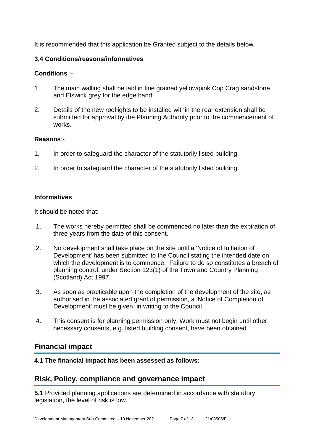It is recommended that this application be Granted subject to the details below.

#### **3.4 Conditions/reasons/informatives**

#### **Conditions** :-

- 1. The main walling shall be laid in fine grained yellow/pink Cop Crag sandstone and Elswick grey for the edge band.
- 2. Details of the new rooflights to be installed within the rear extension shall be submitted for approval by the Planning Authority prior to the commencement of works.

#### **Reasons**:-

- 1. In order to safeguard the character of the statutorily listed building.
- 2. In order to safeguard the character of the statutorily listed building.

#### **Informatives**

It should be noted that:

- 1. The works hereby permitted shall be commenced no later than the expiration of three years from the date of this consent.
- 2. No development shall take place on the site until a 'Notice of Initiation of Development' has been submitted to the Council stating the intended date on which the development is to commence. Failure to do so constitutes a breach of planning control, under Section 123(1) of the Town and Country Planning (Scotland) Act 1997.
- 3. As soon as practicable upon the completion of the development of the site, as authorised in the associated grant of permission, a 'Notice of Completion of Development' must be given, in writing to the Council.
- 4. This consent is for planning permission only. Work must not begin until other necessary consents, e.g. listed building consent, have been obtained.

# **Financial impact**

**4.1 The financial impact has been assessed as follows:**

# **Risk, Policy, compliance and governance impact**

**5.1** Provided planning applications are determined in accordance with statutory legislation, the level of risk is low.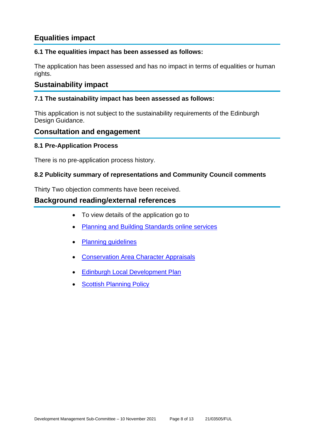# **Equalities impact**

#### **6.1 The equalities impact has been assessed as follows:**

The application has been assessed and has no impact in terms of equalities or human rights.

# **Sustainability impact**

#### **7.1 The sustainability impact has been assessed as follows:**

This application is not subject to the sustainability requirements of the Edinburgh Design Guidance.

## **Consultation and engagement**

#### **8.1 Pre-Application Process**

There is no pre-application process history.

#### **8.2 Publicity summary of representations and Community Council comments**

Thirty Two objection comments have been received.

## **Background reading/external references**

- To view details of the application go to
- **[Planning and Building Standards online services](https://citydev-portal.edinburgh.gov.uk/idoxpa-web/search.do?action=simple&searchType=Application)**
- [Planning guidelines](http://www.edinburgh.gov.uk/planningguidelines)
- Conservation [Area Character Appraisals](http://www.edinburgh.gov.uk/characterappraisals)
- **[Edinburgh Local Development Plan](http://www.edinburgh.gov.uk/localdevelopmentplan)**
- **[Scottish Planning Policy](http://www.scotland.gov.uk/Topics/Built-Environment/planning/Policy)**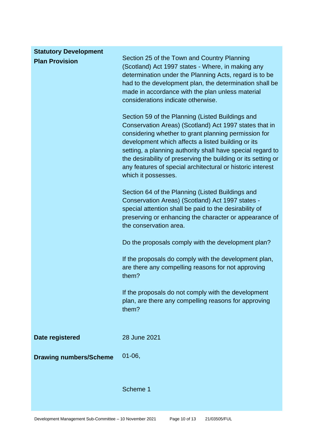| <b>Statutory Development</b>  |                                                                                                                                                                                                                                                                                                                                                                                                                                              |
|-------------------------------|----------------------------------------------------------------------------------------------------------------------------------------------------------------------------------------------------------------------------------------------------------------------------------------------------------------------------------------------------------------------------------------------------------------------------------------------|
| <b>Plan Provision</b>         | Section 25 of the Town and Country Planning<br>(Scotland) Act 1997 states - Where, in making any<br>determination under the Planning Acts, regard is to be<br>had to the development plan, the determination shall be<br>made in accordance with the plan unless material<br>considerations indicate otherwise.                                                                                                                              |
|                               | Section 59 of the Planning (Listed Buildings and<br>Conservation Areas) (Scotland) Act 1997 states that in<br>considering whether to grant planning permission for<br>development which affects a listed building or its<br>setting, a planning authority shall have special regard to<br>the desirability of preserving the building or its setting or<br>any features of special architectural or historic interest<br>which it possesses. |
|                               | Section 64 of the Planning (Listed Buildings and<br>Conservation Areas) (Scotland) Act 1997 states -<br>special attention shall be paid to the desirability of<br>preserving or enhancing the character or appearance of<br>the conservation area.                                                                                                                                                                                           |
|                               | Do the proposals comply with the development plan?                                                                                                                                                                                                                                                                                                                                                                                           |
|                               | If the proposals do comply with the development plan,<br>are there any compelling reasons for not approving<br>them?                                                                                                                                                                                                                                                                                                                         |
|                               | If the proposals do not comply with the development<br>plan, are there any compelling reasons for approving<br>them?                                                                                                                                                                                                                                                                                                                         |
| Date registered               | 28 June 2021                                                                                                                                                                                                                                                                                                                                                                                                                                 |
| <b>Drawing numbers/Scheme</b> | $01 - 06,$                                                                                                                                                                                                                                                                                                                                                                                                                                   |
|                               | Scheme 1                                                                                                                                                                                                                                                                                                                                                                                                                                     |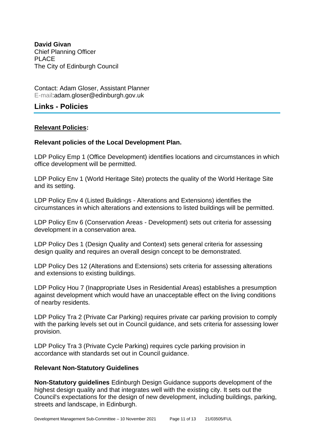**David Givan** Chief Planning Officer PLACE The City of Edinburgh Council

Contact: Adam Gloser, Assistant Planner E-mail:adam.gloser@edinburgh.gov.uk

# **Links - Policies**

#### **Relevant Policies:**

#### **Relevant policies of the Local Development Plan.**

LDP Policy Emp 1 (Office Development) identifies locations and circumstances in which office development will be permitted.

LDP Policy Env 1 (World Heritage Site) protects the quality of the World Heritage Site and its setting.

LDP Policy Env 4 (Listed Buildings - Alterations and Extensions) identifies the circumstances in which alterations and extensions to listed buildings will be permitted.

LDP Policy Env 6 (Conservation Areas - Development) sets out criteria for assessing development in a conservation area.

LDP Policy Des 1 (Design Quality and Context) sets general criteria for assessing design quality and requires an overall design concept to be demonstrated.

LDP Policy Des 12 (Alterations and Extensions) sets criteria for assessing alterations and extensions to existing buildings.

LDP Policy Hou 7 (Inappropriate Uses in Residential Areas) establishes a presumption against development which would have an unacceptable effect on the living conditions of nearby residents.

LDP Policy Tra 2 (Private Car Parking) requires private car parking provision to comply with the parking levels set out in Council guidance, and sets criteria for assessing lower provision.

LDP Policy Tra 3 (Private Cycle Parking) requires cycle parking provision in accordance with standards set out in Council guidance.

#### **Relevant Non-Statutory Guidelines**

**Non-Statutory guidelines** Edinburgh Design Guidance supports development of the highest design quality and that integrates well with the existing city. It sets out the Council's expectations for the design of new development, including buildings, parking, streets and landscape, in Edinburgh.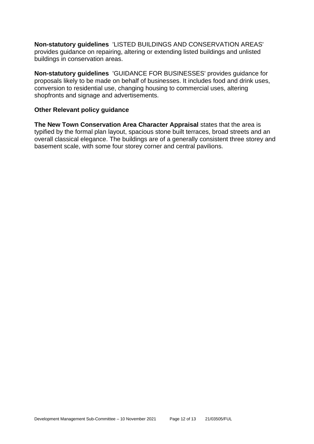**Non-statutory guidelines** 'LISTED BUILDINGS AND CONSERVATION AREAS' provides guidance on repairing, altering or extending listed buildings and unlisted buildings in conservation areas.

**Non-statutory guidelines** 'GUIDANCE FOR BUSINESSES' provides guidance for proposals likely to be made on behalf of businesses. It includes food and drink uses, conversion to residential use, changing housing to commercial uses, altering shopfronts and signage and advertisements.

#### **Other Relevant policy guidance**

**The New Town Conservation Area Character Appraisal** states that the area is typified by the formal plan layout, spacious stone built terraces, broad streets and an overall classical elegance. The buildings are of a generally consistent three storey and basement scale, with some four storey corner and central pavilions.